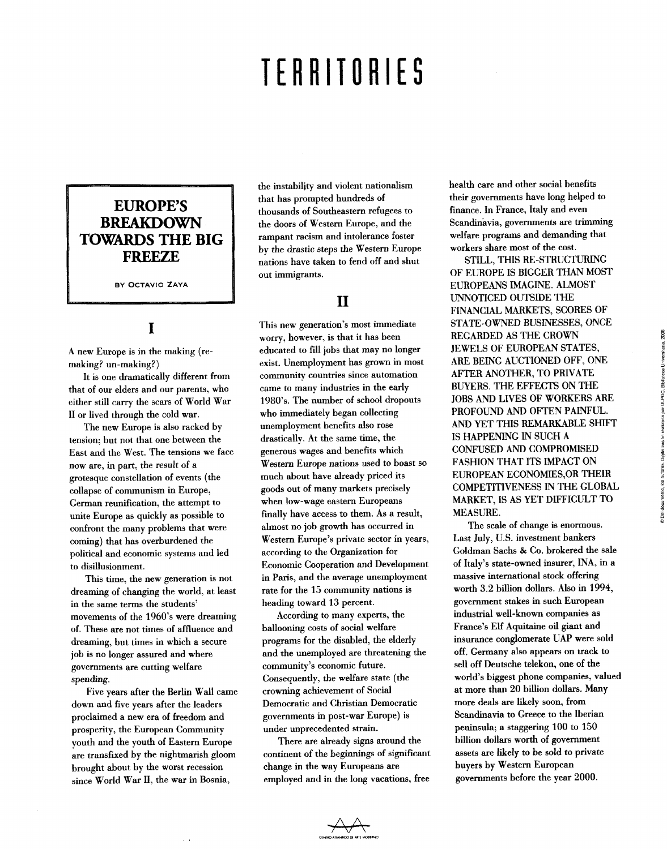# **TERRITORIES**

#### **EUROPE'S BREAKDOWN TOWARDS THE BIG FREEZE**

**BY OCTAVIO ZAYA** 

## **I**

A new Europe is in the making (remaking? un-making?)

It is one dramatically different from that of our elders and our parents, who either still carry the scars of World War II or lived through the cold war.

The new Europe is also racked by tensión; but not that one between the East and the West. The tensions we face now are, in part, the result of a grotesque constellation of events (the collapse of communism in Europe, Germán reunification, the attempt to unite Europe as quickly as possible to confront the many problems that were coming) that has overburdened the political and economic systems and led to disillusionment.

This time, the new generation is not dreaming of changing the world, at least in the same terms the students' movements of the 1960's were dreaming of. These are not times of affluence and dreaming, but times in which a secure job is no longer assured and where govemments are cutting welfare spending.

Five years after the Berlin Wall came down and five years after the leaders proclaimed a new era of freedom and prosperity, the European Community youth and the youth of Eastem Europe are transfixed by the nightmarish gloom brought about by the worst recession since World War II, the war in Bosnia,

the instabiljty and violent nationalism that has prompted hundreds of thousands of Southeastem refugees to the doors of Western Europe, and the rampant racism and intolerance foster by the drastic steps the Western Europe nations have taken to fend off and shut out immigrants.

### **II**

This new generation's most immediate worry, however, is that it has been educated to fill jobs that may no longer exist. Unemployment has grown in most conununity countries since automation came to many industries in the early 1980's. The number of school dropouts who immediately began collecting unemployment benefits also rose drastically. At the same time, the generous wages and benefits which Western Europe nations used to boast so much about have already priced its goods out of many markets precisely when low-wage eastem Europeans finally have access to them. As a result, almost no job growth has occurred in Western Europe's prívate sector in years, according to the Organization for Economic Cooperation and Development in París, and the average unemployment rate for the 15 community nations is heading toward 13 percent.

According to many experts, the ballooning costs of social welfare programs for the disabled, the elderly and the unemployed are threatening the community's economic future. Consequently, the welfare state (the crowning achievement of Social Democratic and Christian Democratic govemments in post-war Europe) is under unprecedented strain.

There are already signs around the continent of the beginnings of significant change in the way Europeans are employed and in the long vacations, free

health care and other social benefits their govemments have long helped to finance. In France, Italy and even Scandinávia, govemments are trimming welfare programs and demanding that workers share most of the cost.

STILL, THIS RE-STRUCTURING OF EUROPE IS BIGGER THAN MOST EUROPEANS IMAGINE. ALMOST UNNOTICED OUTSIDE THE FINANCIAL MARKETS, SCORES OF STATE-OWNED BUSINESSES, ONCE REGARDED AS THE CROWN JEWELS OF EUROPEAN STATES, ARE BEING AUCTIONED OFF, ONE AFTER ANOTHER, TO PRÍVATE BUYERS. THE EFFECTS ON THE JOBS AND LIVES OF WORKERS ARE PROFOUND AND OFTEN PAINFUL. AND YET THIS REMARKABLE SHIFT IS HAPPENING IN SUCH A CONFUSED AND COMPROMISED FASHION THAT ITS IMPACT ON EUROPEAN ECONOMIES,OR THEIR COMPETITIVENESS IN THE GLOBAL MARKET, IS AS YET DIFFICULT TO MEASURE.

The scale of change is enormous. Last July, U.S. investment bankers Goldman Sachs & Co. brokered the sale of Italy's state-owned insurer, INA, in a massive intemational stock offering worth 3.2 billion dollars. Also in 1994, government stakes in such European industríal well-known companies as France's Elf Aquitaine oil giant and insurance conglomérate UAP were sold off, Germany also appears on track to sell off Deutsche telekon, one of the world's biggest phone companies, valued at more than 20 billion dollars. Many more deals are likely soon, from Scandinavia to Greece to the Iberian península; a staggering 100 to 150 bilüon dollars worth of govemment assets are likely to be sold to prívate buyers by Western European govemments before the year 2000.

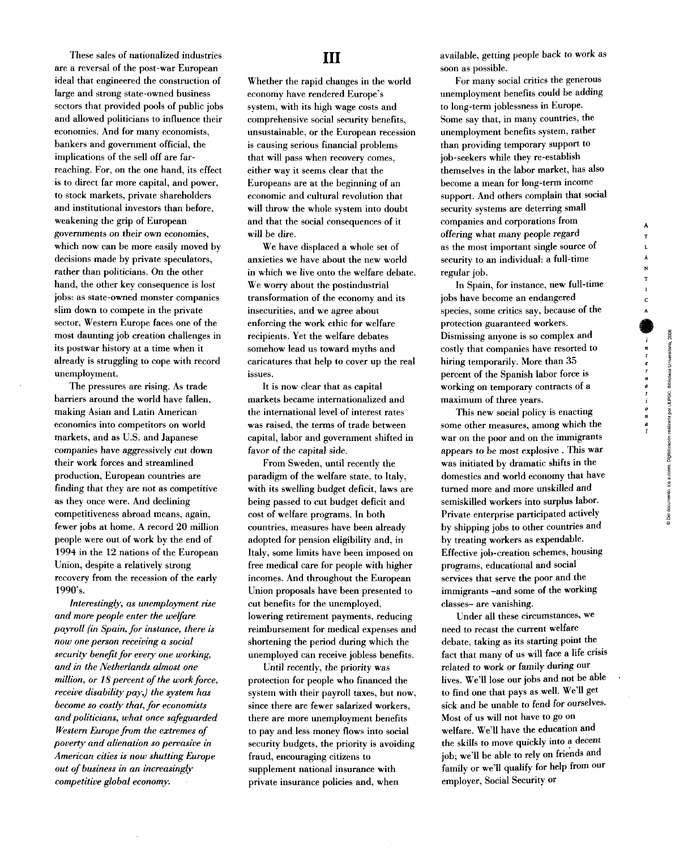These sales of nationalized industries are a reversal of the post-war European ideal that engineered the construction of large and strong state-owned business sectors that provided pools of public jobs and allowed politicians to influence their economies. And for many economists, bankers and govemment official, the implications of the sell off are farreaching. For, on the one hand, its effect is to direct far more capital, and power, to stock markets, prívate shareholders and institutional investors than before, weakening the grip of European govemments on their own economies, which now can be more easily moved by decisions made by private speculators, rather than politicians. On the other hand, the other key consequence is lost jobs: as state-owned monster companies slim down to compete in the private sector, Western Europe faces one of the most daunting job creation challenges in its postwar history at a time when it already is struggling to cope with record unemployment.

The pressures are rísing. As trade barriers around the world have fallen, making Asian and Latin American economies inte competitors on world markets, and as U.S. and Japanese companies have aggressively cut down their work forces and streamlined production, European countries are finding that they are not as competitive as they once were. And declining competitiveness abroad means, again, fewer jobs at heme. A record 20 million people were out of work by the end of 1994 in the 12 nations of the European Union, despite a relatively strong recovery from the recession of the early 1990's.

*Interestingly, as unemployment ríse and more people enter the welfare payroll (in Spain, for instance, there is now one person receiving a social security benefit for every one working, and in the Netherlands almost one million, or 18 percent of the work force, receive disability pay,) the system has become so costly that, for economists and politicians, what once safeguarded Western Europe from the extremes of poverty and alienation so pervasive in American cities is now shutting Europe out of business in an increasingly competitive global economy.* 

#### **III**

Whether the rapid changes in the world economy have rendered Europe's system, with its high wage costs and comprehensive social security benefits, unsustainable, or the European recession is causing serious financial problems that will pass when recovery comes, either way it seems clear that the Europeans are at the beginning of an economic and cultural revolution that will throw the whole system into doubt and that the social consequences of it will be diré.

We have displaced a whole set of anxieties we have about the new world in which we live onto the welfare debate. We worry about the postindustríal transformation of the economy and its insecurities, and we agree about enforcing the work ethic for welfare recipients. Yet the welfare debates somehow lead us toward myths and carícatures that help to cover up the real issues.

It is now clear that as capital markets became intemationalized and the intemational level of interest rates was raised, the terms of trade between capital, labor and government shifted in favor of the capital side.

From Sweden, until recently the paradigm of the welfare state, to Italy, with its swelling budget déficit, laws are being passed to cut budget déficit and cost of welfare programs. In both countries, measures have been already adopted for pensión eligibility and, in Italy, some limits have been imposed on free medical care for people with higher incomes. And throughout the European Union proposals have been presented to cut benefits for the unemployed, lowering retirement payments, reducing reimbursement for medical expenses and shortening the períod during which the unemployed can receive jobless benefits.

Until recently, the priority was protection for people who financed the system with their payroll taxes, but now, since there are fewer salarized workers, there are more unemployment benefits to pay and less money flows into social security budgets, the priority is avoiding fraud, encouraging citizens to supplement national insurance with private insurance policies and, when

available, getting people back to work as soon as possible.

For many social crítics the generous unemployment benefits could be adding to long-term joblessness in Europe. Some say that, in many countries, the unemployment benefits system, rather than providing temporary support to job-seekers while they re-establish themselves in the labor market, has also become a mean for long-term income support. And others complain that social security systems are deterríng small companies and corporations from offeríng what many people regard as the most important single source of security to an individual: a full-time regular job.

In Spain, for instance, new fuU-time jobs have become an endangered species, some critics say, because of the protection guaranteed workers. Dismissing anyone is so complex and costly that companies have resorted to hiring temporarily. More than 35 percent of the Spanish labor forcé is working on temporary contracts of a maximum of three years.

This new social policy is enacting some other measures, among which the war on the poor and on the immigrants appears to be most explosive . This war was initiated by dramatic shifts in the domestics and world economy that have turned more and more unskilled and semiskilled workers into surplus labor. Private enterprise participated actively by shipping jobs to other countríes and by treating workers as expendable. Effective job-creation schemes, housing programs, educational and social services that serve the poor and the immigrants -and some of the working classes- are vanishing.

Under all these circumstances, we need to recast the current welfare debate, taking as its starting point the fact that many of us will face a life crísis related to work or family during our lives. We'll lose our jobs and not be able to find one that pays as well. We'U get sick and be unable to fend for ourselves. Most of us will not have to go on welfare. We'll have the education and the skills to move quickly into a decent job; we'U be able to rely on friends and family or we'U qualify for help from our employer, Social Security or

A T

 $\mathbf{N}$ 

 $\mathbf{c}$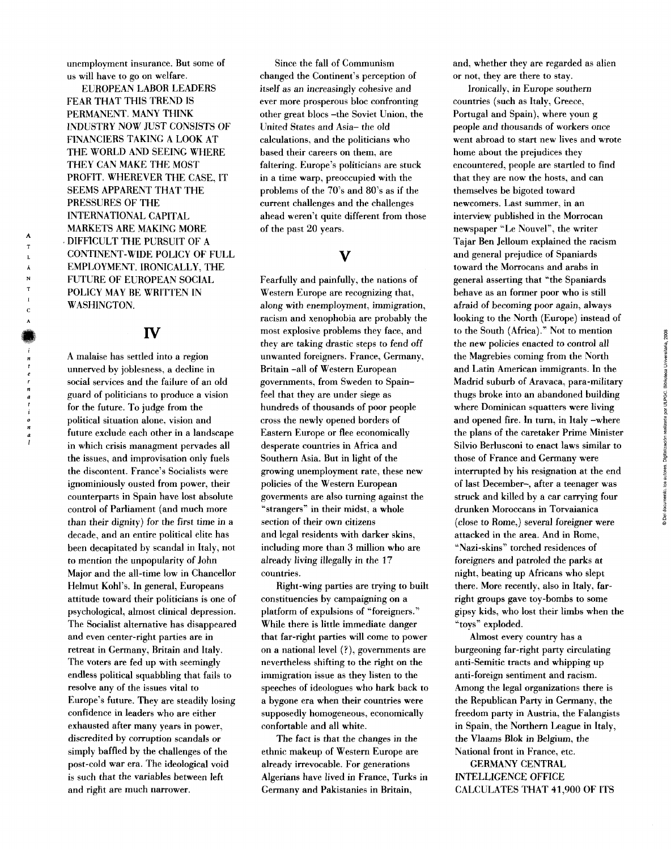unemployment insurance. But some of us will have to go on welfare.

EUROPEAN LABOR LEADERS FEAR THAT THIS TREND IS PERMANENT. MANY THINK INDUSTRY NOW JUST CONSISTS OF FINANCIERS TAKING A LOOK AT THE WORLD AND SEEING WHERE THEY CAN MAKE THE MOST PROFIT. WHEREVER THE CASE, IT SEEMS APPARENT THAT THE PRESSURES OF THE INTERNATIONAL CAPITAL MARKETS ARE MAKING MORE DIFFICULT THE PURSUIT OF A CONTINENT-WIDE POLICY OF FULL EMPLOYMENT. IRONICALLY, THE FUTÜRE OF EUROPEAN SOCIAL POLICY MAY BE WRITTEN IN WASHINGTON.

#### **IV**

A malaise has setded into a región unnerved bv joblesness, a decline in social services and the failure of an oíd guard of politicians to produce a visión for the future. To judge from the political situation alone, visión and future exelude each other in a landscape in which crisis managment pervades all the issues, and improvisation only fuels the discontent. France's Socialists were ignominiously ousted from power, their counterparts in Spain have lost absolute control of Parliament (and much more than their dignity) for the first time in a decade, and an entire political élite has been decapitated by scandal in Italy, not to mention the unpopularity of John Major and the all-time low in Chancellor Helmut Kohl's. In general, Europeans attitude toward their politicians is one of psychological, almost clinical depression. The Socialist altemative has disappeared and even center-right parties are in retreat in Germany, Britain and Italy. The voters are fed up with seemingly endless political squabbling that fails to resolve any of the issues vital to Europe's future. They are steadily losing confidence in leaders who are either exhausted after many years in power, discredited by corruption scandals or simply baffled by the challenges of the post-cold war era. The ideological void is such that the variables between left and right are much narrower.

Since the fall of Communisin changed the Continent's perception of itself as an increasingly cohesive and ever more prosperous bloc confronting other great blocs -the Soviet Union, the United States and Asia- the oíd calculations, and the politicians who based their careers on them, are faltering. Europe's politicians are stuck in a time warp, preoccupied with the problems of the 70's and 80's as if the current challenges and the challenges ahead weren't quite different from those of the past 20 years.

Fearfully and painfully, the nations of Western Europe are recognizing that, along with enemployment, immigration, racism and xenophobia are probably the most explosive problems they face, and they are taking drastic steps to fend off unwanted foreigners. France, Germany, Britain -all of Western European govemments, from Sweden to Spainfeel that they are under siege as hundreds of thousands of poor people cross the newly opened borders of Eastem Europe or flee economically desperate countries in África and Southern Asia. But in light of the growing unemployment rate, these new policies of the Western European goverments are also tuming against the "strangers" in their midst, a whole section of their own citizens and legal residents with darker skins, including more than 3 million who are already living illegally in the 17 countries.

Right-wing parties are trying to built constituencies by campaigning on a platform of expulsions of "foreigners." While there is little immediate danger that far-right parties will come to power on a national level (?), govemments are nevertheless shifting to the right on the immigration issue as they listen to the speeches of ideologues who hark back to a bygone era when their countries were supposedly homogeneous, economically confortable and all white.

The fact is that the changes in the ethnic makeup of Western Europe are already irrevocable. For generations Algerians have lived in France, Turks in Germany and Pakistanies in Britain,

and, whether they are regarded as alien or not, they are there to stay.

Ironically, in Europe southern countries (such as Italy, Greece, Portugal and Spain), where youn g people and thousands of workers once went abroad to start new lives and wrote home about the prejudices they encountered, people are startled to find that they are now the hosts, and can themselves be bigoted toward newcomers. Last summer, in an interview published in the Morrocan newspaper "Le Nouvel", the writer Tajar Ben Jelloum explained the racism and general prejudice of Spaniards toward the Morrocans and arabs in general asserting that "the Spaniards behave as an former poor who is still afraid of becoming poor again, always looking to the North (Europe) instead of to the South (África)." Not to mention the new policies enacted to control all the Magrebies coming from the North and Latin American immigrants. In the Madrid suburb of Aravaca, para-military thugs broke into an abandoned building where Dominican squatters were living and opened fire. In tum, in Italy -where the plans of the caretaker Prime Minister Silvio Berlusconi to enact laws similar to those of France and Germany were interrupted by his resignation at the end of last December-, after a teenager was struck and killed by a car carrying four drunken Moroccans in Torvaianica (close to Rome,) several foreigner were attacked in the area. And in Rome, "Nazi-skins" torched residences of foreigners and patroled the parks at night, beating up Africans who slept there. More recently, also in Italy, farright groups gave toy-bombs to some gipsy kids, who lost their limbs when the "toys" exploded.

Almost every country has a burgeoning far-right party circulating anti-Semitic tracts and whipping up anti-foreign sentiment and racism. Among the legal organizations there is the Republican Party in Germany, the freedom party in Austria, the Falangists in Spain, the Northern League in Italy, the Vlaams Blok in Belgium, the National front in France, etc.

GERMANY CENTRAL INTELLIGENCE OFFICE CALCULATES THAT 41,900 OF ITS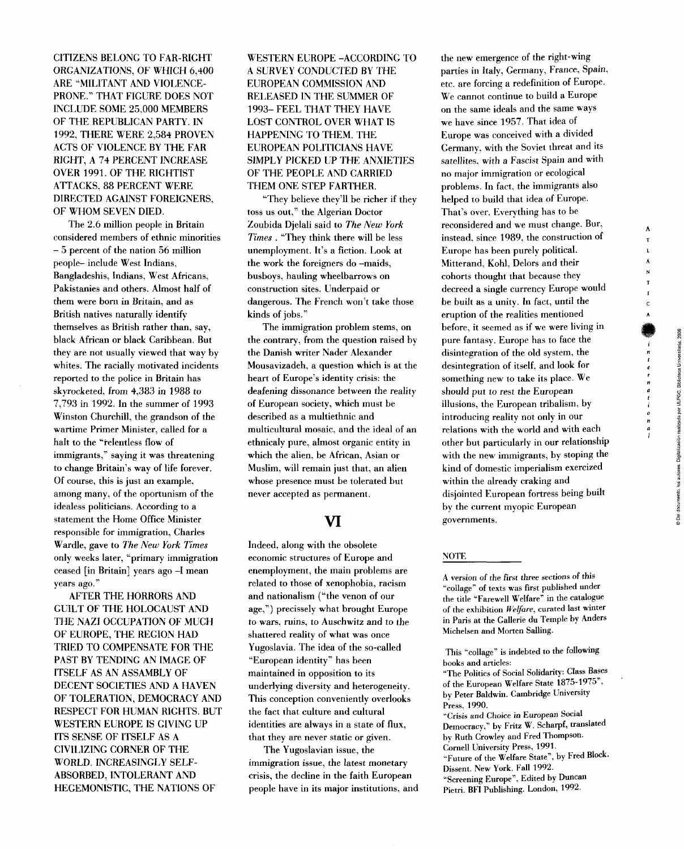A  $\mathbf{r}$  $\mathbf{L}$ Á

 $\mathbf c$ 

CITIZENS BELONG TO FAR-RIGHT ORGANIZATIONS, OF WHICH 6,400 ARE 'MILITANT AND VIOLENCE-PRONE." THAT FIGURE DOES NOT INCLUDE SOME 25,000 MEMBERS OF THE REPUBLICAN PARTY. IN 1992, THERE WERE 2,584 PROVEN ACTS OF VIOLENCE BY THE FAR RIGHT, A 74 PERCENT INCREASE OVER 1991. OF THE RIGHTIST ATTACKS, 88 PERCENT WERE DIRECTED AGAINST FOREIGNERS, OF WHOM SEVEN DIED.

The 2.6 million people in Britain considered members of ethnic minorities - 5 percent of the nation 56 million people- include West Indians, Bangladeshis, Indians, West Africans, Pakistanies and others. Almost half of them were bom in Britain, and as British natives naturally identify themselves as British rather than, say, black African or black Caribbean. But they are not usually viewed that way by whites. The racially motivated incidents reported to the police in Britain has skyrocketed, from 4,383 in 1988 to 7,793 in 1992. In the summer of 1993 Winston Churchill, the grandson of the wartime Primer Minister, called for a halt to the "relentless flow of immigrants," saying it was threatening to changa Britain's way of life forever. Of course, this is just an example, among many, of the oportunism of the idealess politicians. According to a statement the Home Office Minister responsible for immigration. Charles Wardle, gave to *The New York Times*  only weeks later, "primary immigration ceased [in Britain] years ago -I mean years ago."

AFTER THE HORRORS AND GUILT OF THE HOLOCAUST AND THE NAZI OCCÜPATION OF MUCH OF EUROPE, THE REGION HAD TRIED TO COMPENSATE FOR THE PAST BY TENDING AN IMAGE OF ITSELF AS AN ASSAMBLY OF DECENT SOCIETIES AND A HAVEN OF TOLERATION, DEMOCRACY AND RESPECT FOR HUMAN RIGHTS. BUT WESTERN EUROPE IS GIVING UP ITS SENSE OF ITSELF AS A CIVILIZING CORNER OF THE WORLD. INCREASINGLY SELF-ABSORBED, INTOLERANT AND HEGEMONISTIC, THE NATIONS OF

WESTERN EUROPE -ACCORDING TO A SURVEY CONDUCTED BY THE EUROPEAN COMMISSION AND RELEASED IN THE SUMMER OF 1993- FEEL THAT THEY HAVE LOST CONTROL OVER WHAT IS HAPPENING TO THEM. THE EUROPEAN POLITICIANS HAVE SIMPLY PICKED UP THE ANXIETIES OF THE PEOPLE AND CARRIED THEM ONE STEP FARTHER.

"They believe they'U be richer if they toss us out," the Algerian Doctor Zoubida Djelali said to *The New York Times .* "They think there will be less unemployment. It's a fiction. Look at the work the foreigners do -maids, busboys, hauling wheelbarrows on construction sites. Underpaid or dangerous. The French won't take those kinds of jobs."

The immigration problem stems, on the contrary, from the question raised by the Danish writer Nader Alexander Mousavizadeh, a question which is at the heart of Europe's identity crisis: the deafening dissonance between the reality of European society, which must be described as a multiethnic and multicultural mosaic, and the ideal of an ethnicaly puré, almost organic entity in which the alien, be African, Asían or Muslim, will remain just that, an alien whose presence must be tolerated but never accepted as permanent.

#### **VI**

Indeed, along with the obsolete economic structures of Europe and enemployment, the main problems are related to those of xenophobia, racism and nationalism ("the venon of our age,") precissely what brought Europe to wars, ruins, to Auschwitz and to the shattered reality of what was once Yugoslavia. The idea of the so-called "Europaan identity" has been maintained in opposition to its underlying diversity and heterogeneity. This conception conveniently overlooks the fact that culture and cultural identities are always in a state of flux, that they are never static or given.

The Yugoslavian issue, the immigration issue, the latest monetary crisis, the decline in the faith European people have in its major institutions, and the new emergence of the right-wing parties in Italy, Germany, France, Spain, etc. are forcing a redefinition of Europe. We cannot continue to build a Europe on the same ideals and the same ways we have since 1957. That idea of Europe was conceived with a divided Germany, with the Soviet threat and its satellites, with a Fascist Spain and with no major immigration or ecological problems. In fact, the immigrants also helped to build that idea of Europe. That's over. Everything has to be reconsidered and we must change. Bur, instead, since 1989, the construction of Europe has been purely political. Mitterand, Kohl, Delors and their cohorts thought that because they decreed a single currency Europe would be built as a unity. In fact, until the eruption of the realities mentioned before, it seamed as if wa were living in pure fantasy. Europe has to face the disintegration of the old system, the desintegration of itself, and look for something new to take its place. We should put to rest the European illusions, the European tribalism, by introducing reality not only in our relations with the world and with each other but particularly in our relationship with the new immigrants, by stoping the kind of domestic imperialism exercized within the already craking and disjointad Europaan fortress being built by the current myopic European governments.

#### **NOTE**

A versión of the first three sections of this "coUage" of texts was first published under the title "Farewell Welfare" in the catalogue of the exhibition *IVelfare,* curated last winter in París at the Gallerie du Temple by Anders Michelsen and Morten Salling.

This "collage" is indebted to the following books and articles:

"The Politics of Social Solidarity: Class Bases of the European Welfare State 1875-1975", by Peter Baldwin. Cambridge University Press, 1990.

"Crisis and Choice in European Social Democracy," by Fritz W. Scharpf, translated by Ruth Crowley and Fred Thompson. Comell Universitv Press, 1991. "Future of the Welfare State", by Fred Block. Dissent. New York. Fall 1992.

"Screening Europe", Edited by Duncan Pietri. BFI Publishing. London, 1992.